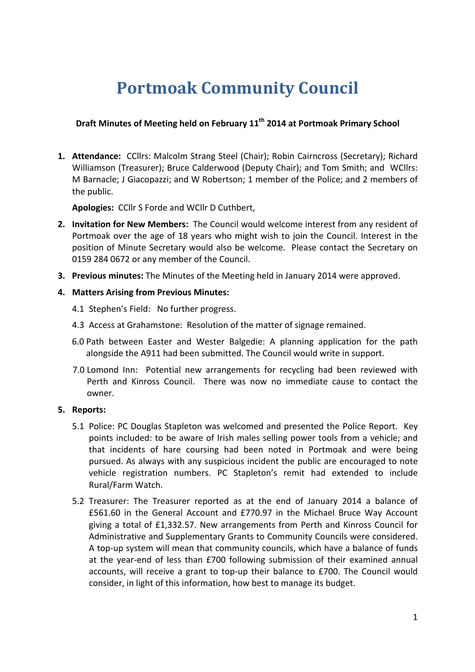# **Portmoak Community Council**

## **Draft Minutes of Meeting held on February 11th 2014 at Portmoak Primary School**

**1. Attendance:** CCllrs: Malcolm Strang Steel (Chair); Robin Cairncross (Secretary); Richard Williamson (Treasurer); Bruce Calderwood (Deputy Chair); and Tom Smith; and WCllrs: M Barnacle; J Giacopazzi; and W Robertson; 1 member of the Police; and 2 members of the public.

Apologies: CCllr S Forde and WCllr D Cuthbert.

- **2.** Invitation for New Members: The Council would welcome interest from any resident of Portmoak over the age of 18 years who might wish to join the Council. Interest in the position of Minute Secretary would also be welcome. Please contact the Secretary on 0159 284 0672 or any member of the Council.
- **3. Previous minutes:** The Minutes of the Meeting held in January 2014 were approved.

### **4. Matters Arising from Previous Minutes:**

- 4.1 Stephen's Field: No further progress.
- 4.3 Access at Grahamstone: Resolution of the matter of signage remained.
- 6.0 Path between Easter and Wester Balgedie: A planning application for the path alongside the A911 had been submitted. The Council would write in support.
- 7.0 Lomond Inn: Potential new arrangements for recycling had been reviewed with Perth and Kinross Council. There was now no immediate cause to contact the owner.

## **5.** Reports:

- 5.1 Police: PC Douglas Stapleton was welcomed and presented the Police Report. Key points included: to be aware of Irish males selling power tools from a vehicle; and that incidents of hare coursing had been noted in Portmoak and were being pursued. As always with any suspicious incident the public are encouraged to note vehicle registration numbers. PC Stapleton's remit had extended to include Rural/Farm Watch.
- 5.2 Treasurer: The Treasurer reported as at the end of January 2014 a balance of  $£561.60$  in the General Account and  $£770.97$  in the Michael Bruce Way Account giving a total of £1,332.57. New arrangements from Perth and Kinross Council for Administrative and Supplementary Grants to Community Councils were considered. A top-up system will mean that community councils, which have a balance of funds at the year-end of less than £700 following submission of their examined annual accounts, will receive a grant to top-up their balance to £700. The Council would consider, in light of this information, how best to manage its budget.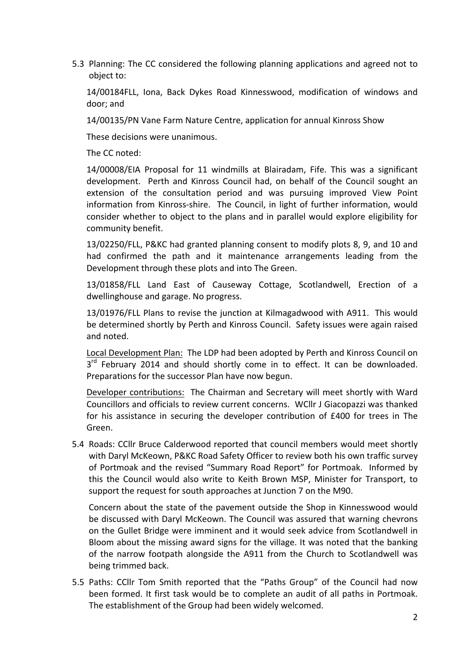5.3 Planning: The CC considered the following planning applications and agreed not to object to:

14/00184FLL, Iona, Back Dykes Road Kinnesswood, modification of windows and door; and

14/00135/PN Vane Farm Nature Centre, application for annual Kinross Show

These decisions were unanimous.

The CC noted:

14/00008/EIA Proposal for 11 windmills at Blairadam, Fife. This was a significant development. Perth and Kinross Council had, on behalf of the Council sought an extension of the consultation period and was pursuing improved View Point information from Kinross-shire. The Council, in light of further information, would consider whether to object to the plans and in parallel would explore eligibility for community benefit. 

13/02250/FLL, P&KC had granted planning consent to modify plots 8, 9, and 10 and had confirmed the path and it maintenance arrangements leading from the Development through these plots and into The Green.

13/01858/FLL Land East of Causeway Cottage, Scotlandwell, Erection of a dwellinghouse and garage. No progress.

13/01976/FLL Plans to revise the junction at Kilmagadwood with A911. This would be determined shortly by Perth and Kinross Council. Safety issues were again raised and noted.

Local Development Plan: The LDP had been adopted by Perth and Kinross Council on  $3<sup>rd</sup>$  February 2014 and should shortly come in to effect. It can be downloaded. Preparations for the successor Plan have now begun.

Developer contributions: The Chairman and Secretary will meet shortly with Ward Councillors and officials to review current concerns. WCllr J Giacopazzi was thanked for his assistance in securing the developer contribution of £400 for trees in The Green.

5.4 Roads: CCllr Bruce Calderwood reported that council members would meet shortly with Daryl McKeown, P&KC Road Safety Officer to review both his own traffic survey of Portmoak and the revised "Summary Road Report" for Portmoak. Informed by this the Council would also write to Keith Brown MSP, Minister for Transport, to support the request for south approaches at Junction 7 on the M90.

Concern about the state of the pavement outside the Shop in Kinnesswood would be discussed with Daryl McKeown. The Council was assured that warning chevrons on the Gullet Bridge were imminent and it would seek advice from Scotlandwell in Bloom about the missing award signs for the village. It was noted that the banking of the narrow footpath alongside the A911 from the Church to Scotlandwell was being trimmed back.

5.5 Paths: CCllr Tom Smith reported that the "Paths Group" of the Council had now been formed. It first task would be to complete an audit of all paths in Portmoak. The establishment of the Group had been widely welcomed.